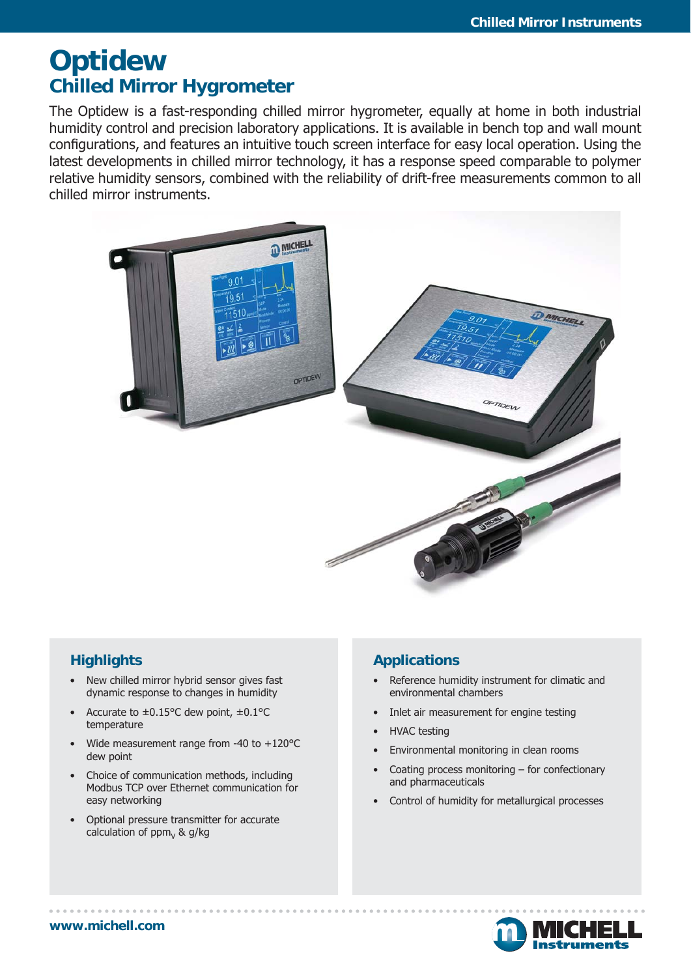# **Optidew Chilled Mirror Hygrometer**

The Optidew is a fast-responding chilled mirror hygrometer, equally at home in both industrial humidity control and precision laboratory applications. It is available in bench top and wall mount configurations, and features an intuitive touch screen interface for easy local operation. Using the latest developments in chilled mirror technology, it has a response speed comparable to polymer relative humidity sensors, combined with the reliability of drift-free measurements common to all chilled mirror instruments.



### **Highlights**

- New chilled mirror hybrid sensor gives fast dynamic response to changes in humidity
- Accurate to  $\pm 0.15^{\circ}$ C dew point,  $\pm 0.1^{\circ}$ C temperature
- Wide measurement range from -40 to  $+120^{\circ}$ C dew point
- Choice of communication methods, including Modbus TCP over Ethernet communication for easy networking
- Optional pressure transmitter for accurate calculation of  $ppm<sub>v</sub>$  & g/kg

### **Applications**

- Reference humidity instrument for climatic and environmental chambers
- Inlet air measurement for engine testing
- HVAC testing
- Environmental monitoring in clean rooms
- Coating process monitoring  $-$  for confectionary and pharmaceuticals
- Control of humidity for metallurgical processes

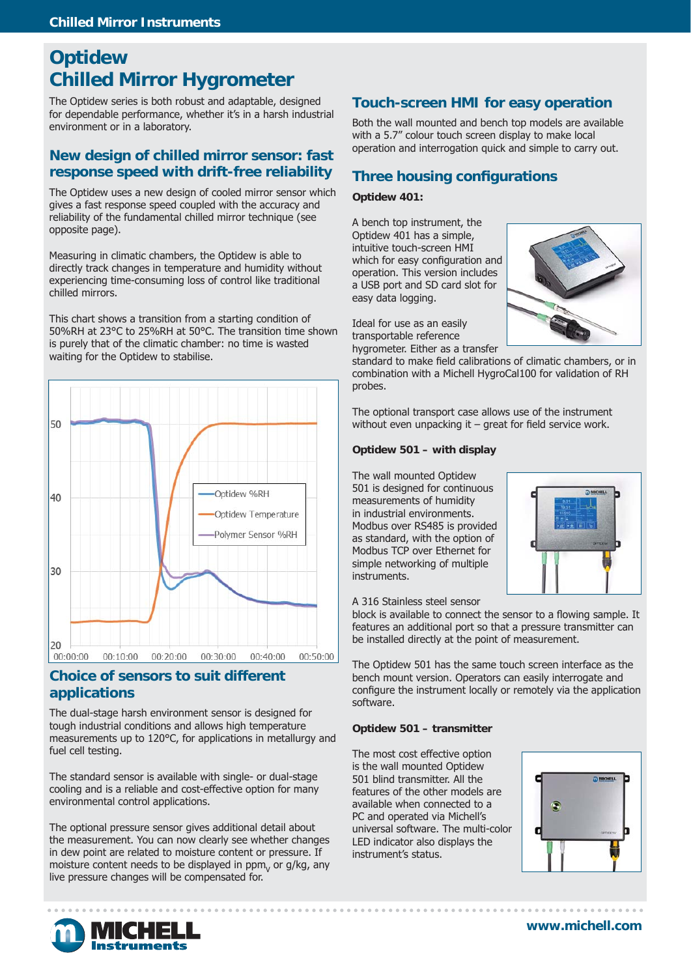## **Optidew Chilled Mirror Hygrometer**

The Optidew series is both robust and adaptable, designed for dependable performance, whether it's in a harsh industrial environment or in a laboratory.

### **New design of chilled mirror sensor: fast response speed with drift-free reliability**

The Optidew uses a new design of cooled mirror sensor which gives a fast response speed coupled with the accuracy and reliability of the fundamental chilled mirror technique (see opposite page).

Measuring in climatic chambers, the Optidew is able to directly track changes in temperature and humidity without experiencing time-consuming loss of control like traditional chilled mirrors.

This chart shows a transition from a starting condition of 50%RH at 23°C to 25%RH at 50°C. The transition time shown is purely that of the climatic chamber: no time is wasted waiting for the Optidew to stabilise.



### **Choice of sensors to suit different applications**

The dual-stage harsh environment sensor is designed for tough industrial conditions and allows high temperature measurements up to 120°C, for applications in metallurgy and fuel cell testing.

The standard sensor is available with single- or dual-stage cooling and is a reliable and cost-effective option for many environmental control applications.

The optional pressure sensor gives additional detail about the measurement. You can now clearly see whether changes in dew point are related to moisture content or pressure. If moisture content needs to be displayed in  $ppm<sub>v</sub>$  or g/kg, any live pressure changes will be compensated for.

### **Touch-screen HMI for easy operation**

Both the wall mounted and bench top models are available with a 5.7" colour touch screen display to make local operation and interrogation quick and simple to carry out.

### **Three housing configurations**

#### **Optidew 401:**

A bench top instrument, the Optidew 401 has a simple, intuitive touch-screen HMI which for easy configuration and operation. This version includes a USB port and SD card slot for easy data logging.

Ideal for use as an easily transportable reference

hygrometer. Either as a transfer

standard to make field calibrations of climatic chambers, or in combination with a Michell HygroCal100 for validation of RH probes.

The optional transport case allows use of the instrument without even unpacking it  $-$  great for field service work.

#### **Optidew 501 – with display**

The wall mounted Optidew 501 is designed for continuous measurements of humidity in industrial environments. Modbus over RS485 is provided as standard, with the option of Modbus TCP over Ethernet for simple networking of multiple instruments.



#### A 316 Stainless steel sensor

block is available to connect the sensor to a flowing sample. It features an additional port so that a pressure transmitter can be installed directly at the point of measurement.

The Optidew 501 has the same touch screen interface as the bench mount version. Operators can easily interrogate and configure the instrument locally or remotely via the application software.

#### **Optidew 501 – transmitter**

The most cost effective option is the wall mounted Optidew 501 blind transmitter. All the features of the other models are available when connected to a PC and operated via Michell's universal software. The multi-color LED indicator also displays the instrument's status.





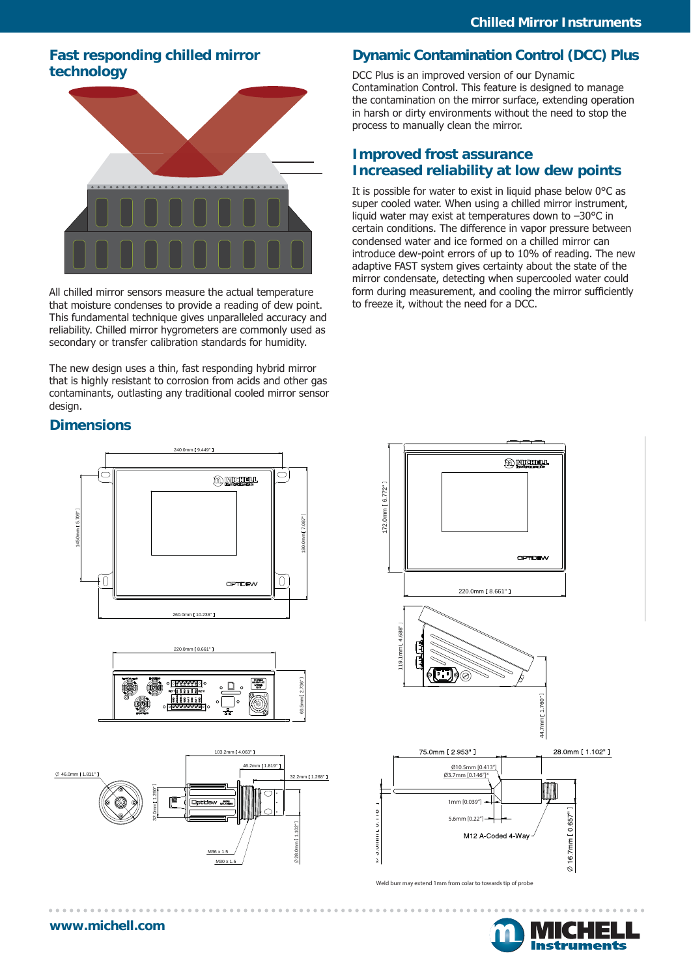### **Fast responding chilled mirror technology**



All chilled mirror sensors measure the actual temperature that moisture condenses to provide a reading of dew point. This fundamental technique gives unparalleled accuracy and reliability. Chilled mirror hygrometers are commonly used as secondary or transfer calibration standards for humidity.

The new design uses a thin, fast responding hybrid mirror that is highly resistant to corrosion from acids and other gas contaminants, outlasting any traditional cooled mirror sensor design.

### **Dimensions**







### **Dynamic Contamination Control (DCC) Plus**

DCC Plus is an improved version of our Dynamic Contamination Control. This feature is designed to manage the contamination on the mirror surface, extending operation in harsh or dirty environments without the need to stop the process to manually clean the mirror.

### **Improved frost assurance Increased reliability at low dew points**

It is possible for water to exist in liquid phase below 0°C as super cooled water. When using a chilled mirror instrument, liquid water may exist at temperatures down to –30°C in certain conditions. The difference in vapor pressure between condensed water and ice formed on a chilled mirror can introduce dew-point errors of up to 10% of reading. The new adaptive FAST system gives certainty about the state of the mirror condensate, detecting when supercooled water could form during measurement, and cooling the mirror sufficiently to freeze it, without the need for a DCC.



Weld burr may extend 1mm from colar to towards tip of probe